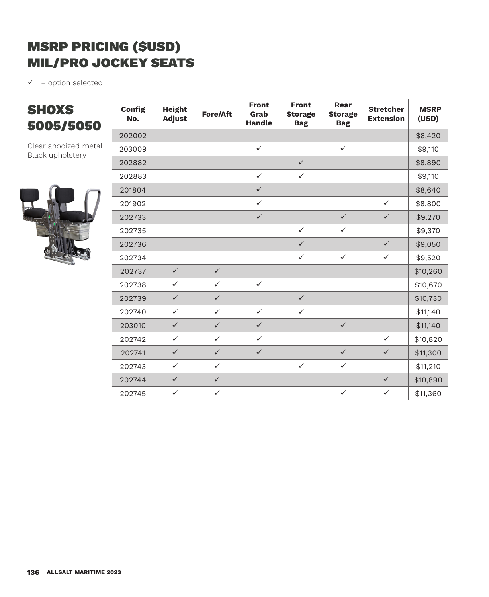## MSRP PRICING (\$USD) MIL/PRO JOCKEY SEATS

 $\checkmark$  = option selected

## **SHOXS** 5005/5050

Clear anodized metal Black upholstery



| <b>Config</b><br>No. | <b>Height</b><br><b>Adjust</b> | <b>Fore/Aft</b> | <b>Front</b><br>Grab<br><b>Handle</b> | <b>Front</b><br><b>Storage</b><br><b>Bag</b> | <b>Rear</b><br><b>Storage</b><br><b>Bag</b> | <b>Stretcher</b><br><b>Extension</b> | <b>MSRP</b><br>(USD) |
|----------------------|--------------------------------|-----------------|---------------------------------------|----------------------------------------------|---------------------------------------------|--------------------------------------|----------------------|
| 202002               |                                |                 |                                       |                                              |                                             |                                      | \$8,420              |
| 203009               |                                |                 | $\checkmark$                          |                                              | $\checkmark$                                |                                      | \$9,110              |
| 202882               |                                |                 |                                       | $\checkmark$                                 |                                             |                                      | \$8,890              |
| 202883               |                                |                 | $\checkmark$                          | $\checkmark$                                 |                                             |                                      | \$9,110              |
| 201804               |                                |                 | $\checkmark$                          |                                              |                                             |                                      | \$8,640              |
| 201902               |                                |                 | $\checkmark$                          |                                              |                                             | $\checkmark$                         | \$8,800              |
| 202733               |                                |                 | $\checkmark$                          |                                              | $\checkmark$                                | $\checkmark$                         | \$9,270              |
| 202735               |                                |                 |                                       | $\checkmark$                                 | $\checkmark$                                |                                      | \$9,370              |
| 202736               |                                |                 |                                       | $\checkmark$                                 |                                             | $\checkmark$                         | \$9,050              |
| 202734               |                                |                 |                                       | $\checkmark$                                 | $\checkmark$                                | $\checkmark$                         | \$9,520              |
| 202737               | $\checkmark$                   | $\checkmark$    |                                       |                                              |                                             |                                      | \$10,260             |
| 202738               | $\checkmark$                   | $\checkmark$    | $\checkmark$                          |                                              |                                             |                                      | \$10,670             |
| 202739               | $\checkmark$                   | $\checkmark$    |                                       | $\checkmark$                                 |                                             |                                      | \$10,730             |
| 202740               | $\checkmark$                   | $\checkmark$    | $\checkmark$                          | $\checkmark$                                 |                                             |                                      | \$11,140             |
| 203010               | $\checkmark$                   | $\checkmark$    | $\checkmark$                          |                                              | $\checkmark$                                |                                      | \$11,140             |
| 202742               | $\checkmark$                   | $\checkmark$    | $\checkmark$                          |                                              |                                             | $\checkmark$                         | \$10,820             |
| 202741               | $\checkmark$                   | $\checkmark$    | $\checkmark$                          |                                              | $\checkmark$                                | $\checkmark$                         | \$11,300             |
| 202743               | $\checkmark$                   | $\checkmark$    |                                       | $\checkmark$                                 | $\checkmark$                                |                                      | \$11,210             |
| 202744               | $\checkmark$                   | $\checkmark$    |                                       |                                              |                                             | $\checkmark$                         | \$10,890             |
| 202745               | $\checkmark$                   | $\checkmark$    |                                       |                                              | $\checkmark$                                | $\checkmark$                         | \$11,360             |